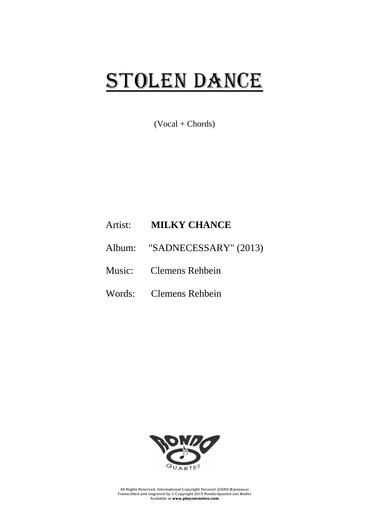## STOLEN DANCE

 $(Vocal + Chords)$ 

## Artist: **MILKY CHANCE**

- Album: "SADNECESSARY" (2013)
- Music: Clemens Rehbein
- Words: Clemens Rehbein



All Rights Reserved. International Copyright Secured (ZAiKS Warszawa) Transcribed and engraved by © Copyright 2015 Rondo-Quartet-Jan Walter Available at **www.playournotes.com**